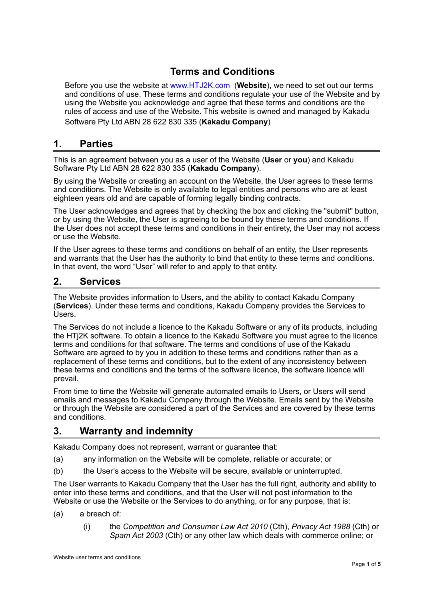# **Terms and Conditions**

Before you use the website at [www.HTJ2K.com](http://www.HTJ2K.com) (**Website**), we need to set out our terms and conditions of use. These terms and conditions regulate your use of the Website and by using the Website you acknowledge and agree that these terms and conditions are the rules of access and use of the Website. This website is owned and managed by Kakadu Software Pty Ltd ABN 28 622 830 335 (**Kakadu Company**)

## **1. Parties**

This is an agreement between you as a user of the Website (**User** or **you**) and Kakadu Software Pty Ltd ABN 28 622 830 335 (**Kakadu Company**).

By using the Website or creating an account on the Website, the User agrees to these terms and conditions. The Website is only available to legal entities and persons who are at least eighteen years old and are capable of forming legally binding contracts.

The User acknowledges and agrees that by checking the box and clicking the "submit" button, or by using the Website, the User is agreeing to be bound by these terms and conditions. If the User does not accept these terms and conditions in their entirety, the User may not access or use the Website.

If the User agrees to these terms and conditions on behalf of an entity, the User represents and warrants that the User has the authority to bind that entity to these terms and conditions. In that event, the word "User" will refer to and apply to that entity.

### **2. Services**

The Website provides information to Users, and the ability to contact Kakadu Company (**Services**). Under these terms and conditions, Kakadu Company provides the Services to Users.

The Services do not include a licence to the Kakadu Software or any of its products, including the HTj2K software. To obtain a licence to the Kakadu Software you must agree to the licence terms and conditions for that software. The terms and conditions of use of the Kakadu Software are agreed to by you in addition to these terms and conditions rather than as a replacement of these terms and conditions, but to the extent of any inconsistency between these terms and conditions and the terms of the software licence, the software licence will prevail.

From time to time the Website will generate automated emails to Users, or Users will send emails and messages to Kakadu Company through the Website. Emails sent by the Website or through the Website are considered a part of the Services and are covered by these terms and conditions.

# <span id="page-0-0"></span>**3. Warranty and indemnity**

Kakadu Company does not represent, warrant or guarantee that:

- (a) any information on the Website will be complete, reliable or accurate; or
- (b) the User's access to the Website will be secure, available or uninterrupted.

The User warrants to Kakadu Company that the User has the full right, authority and ability to enter into these terms and conditions, and that the User will not post information to the Website or use the Website or the Services to do anything, or for any purpose, that is:

- (a) a breach of:
	- (i) the *Competition and Consumer Law Act 2010* (Cth), *Privacy Act 1988* (Cth) or *Spam Act 2003* (Cth) or any other law which deals with commerce online; or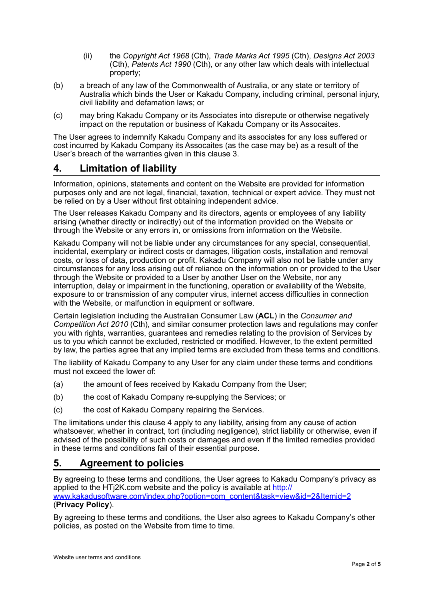- (ii) the *Copyright Act 1968* (Cth), *Trade Marks Act 1995* (Cth), *Designs Act 2003* (Cth), *Patents Act 1990* (Cth), or any other law which deals with intellectual property;
- (b) a breach of any law of the Commonwealth of Australia, or any state or territory of Australia which binds the User or Kakadu Company, including criminal, personal injury, civil liability and defamation laws; or
- (c) may bring Kakadu Company or its Associates into disrepute or otherwise negatively impact on the reputation or business of Kakadu Company or its Assocaites.

The User agrees to indemnify Kakadu Company and its associates for any loss suffered or cost incurred by Kakadu Company its Assocaites (as the case may be) as a result of the User's breach of the warranties given in this clause [3](#page-0-0).

# <span id="page-1-0"></span>**4. Limitation of liability**

Information, opinions, statements and content on the Website are provided for information purposes only and are not legal, financial, taxation, technical or expert advice. They must not be relied on by a User without first obtaining independent advice.

The User releases Kakadu Company and its directors, agents or employees of any liability arising (whether directly or indirectly) out of the information provided on the Website or through the Website or any errors in, or omissions from information on the Website.

Kakadu Company will not be liable under any circumstances for any special, consequential, incidental, exemplary or indirect costs or damages, litigation costs, installation and removal costs, or loss of data, production or profit. Kakadu Company will also not be liable under any circumstances for any loss arising out of reliance on the information on or provided to the User through the Website or provided to a User by another User on the Website, nor any interruption, delay or impairment in the functioning, operation or availability of the Website, exposure to or transmission of any computer virus, internet access difficulties in connection with the Website, or malfunction in equipment or software.

Certain legislation including the Australian Consumer Law (**ACL**) in the *Consumer and Competition Act 2010* (Cth), and similar consumer protection laws and regulations may confer you with rights, warranties, guarantees and remedies relating to the provision of Services by us to you which cannot be excluded, restricted or modified. However, to the extent permitted by law, the parties agree that any implied terms are excluded from these terms and conditions.

The liability of Kakadu Company to any User for any claim under these terms and conditions must not exceed the lower of:

- (a) the amount of fees received by Kakadu Company from the User;
- (b) the cost of Kakadu Company re-supplying the Services; or
- (c) the cost of Kakadu Company repairing the Services.

The limitations under this clause [4](#page-1-0) apply to any liability, arising from any cause of action whatsoever, whether in contract, tort (including negligence), strict liability or otherwise, even if advised of the possibility of such costs or damages and even if the limited remedies provided in these terms and conditions fail of their essential purpose.

# **5. Agreement to policies**

By agreeing to these terms and conditions, the User agrees to Kakadu Company's privacy as applied to the HTj2K.com website and the policy is available at [http://](http://www.kakadusoftware.com/index.php?option=com_content&task=view&id=2&Itemid=2) [www.kakadusoftware.com/index.php?option=com\\_content&task=view&id=2&Itemid=2](http://www.kakadusoftware.com/index.php?option=com_content&task=view&id=2&Itemid=2) (**Privacy Policy**).

By agreeing to these terms and conditions, the User also agrees to Kakadu Company's other policies, as posted on the Website from time to time.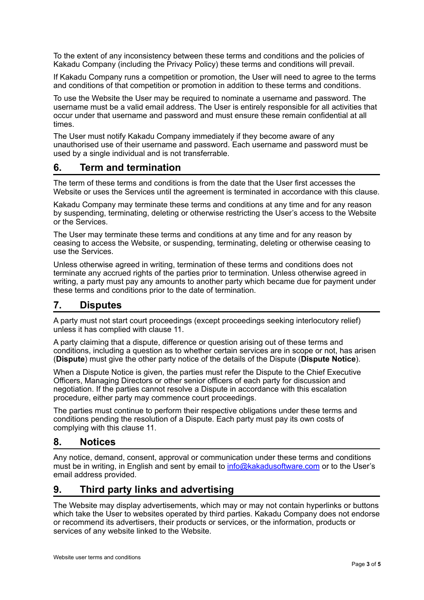To the extent of any inconsistency between these terms and conditions and the policies of Kakadu Company (including the Privacy Policy) these terms and conditions will prevail.

If Kakadu Company runs a competition or promotion, the User will need to agree to the terms and conditions of that competition or promotion in addition to these terms and conditions.

To use the Website the User may be required to nominate a username and password. The username must be a valid email address. The User is entirely responsible for all activities that occur under that username and password and must ensure these remain confidential at all times.

The User must notify Kakadu Company immediately if they become aware of any unauthorised use of their username and password. Each username and password must be used by a single individual and is not transferrable.

## **6. Term and termination**

The term of these terms and conditions is from the date that the User first accesses the Website or uses the Services until the agreement is terminated in accordance with this clause.

Kakadu Company may terminate these terms and conditions at any time and for any reason by suspending, terminating, deleting or otherwise restricting the User's access to the Website or the Services.

The User may terminate these terms and conditions at any time and for any reason by ceasing to access the Website, or suspending, terminating, deleting or otherwise ceasing to use the Services.

Unless otherwise agreed in writing, termination of these terms and conditions does not terminate any accrued rights of the parties prior to termination. Unless otherwise agreed in writing, a party must pay any amounts to another party which became due for payment under these terms and conditions prior to the date of termination.

### <span id="page-2-0"></span>**7. Disputes**

A party must not start court proceedings (except proceedings seeking interlocutory relief) unless it has complied with clause [11](#page-2-0).

A party claiming that a dispute, difference or question arising out of these terms and conditions, including a question as to whether certain services are in scope or not, has arisen (**Dispute**) must give the other party notice of the details of the Dispute (**Dispute Notice**).

When a Dispute Notice is given, the parties must refer the Dispute to the Chief Executive Officers, Managing Directors or other senior officers of each party for discussion and negotiation. If the parties cannot resolve a Dispute in accordance with this escalation procedure, either party may commence court proceedings.

The parties must continue to perform their respective obligations under these terms and conditions pending the resolution of a Dispute. Each party must pay its own costs of complying with this clause [11](#page-2-0).

#### **8. Notices**

Any notice, demand, consent, approval or communication under these terms and conditions must be in writing, in English and sent by email to [info@kakadusoftware.com](mailto:info@kakadusoftware.com) or to the User's email address provided.

### **9. Third party links and advertising**

The Website may display advertisements, which may or may not contain hyperlinks or buttons which take the User to websites operated by third parties. Kakadu Company does not endorse or recommend its advertisers, their products or services, or the information, products or services of any website linked to the Website.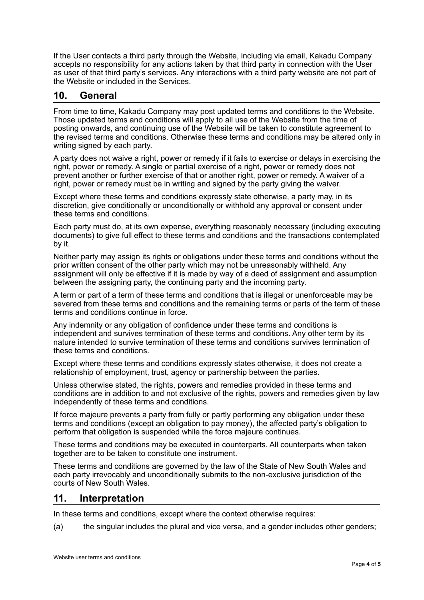If the User contacts a third party through the Website, including via email, Kakadu Company accepts no responsibility for any actions taken by that third party in connection with the User as user of that third party's services. Any interactions with a third party website are not part of the Website or included in the Services.

# **10. General**

From time to time, Kakadu Company may post updated terms and conditions to the Website. Those updated terms and conditions will apply to all use of the Website from the time of posting onwards, and continuing use of the Website will be taken to constitute agreement to the revised terms and conditions. Otherwise these terms and conditions may be altered only in writing signed by each party.

A party does not waive a right, power or remedy if it fails to exercise or delays in exercising the right, power or remedy. A single or partial exercise of a right, power or remedy does not prevent another or further exercise of that or another right, power or remedy. A waiver of a right, power or remedy must be in writing and signed by the party giving the waiver.

Except where these terms and conditions expressly state otherwise, a party may, in its discretion, give conditionally or unconditionally or withhold any approval or consent under these terms and conditions.

Each party must do, at its own expense, everything reasonably necessary (including executing documents) to give full effect to these terms and conditions and the transactions contemplated by it.

Neither party may assign its rights or obligations under these terms and conditions without the prior written consent of the other party which may not be unreasonably withheld. Any assignment will only be effective if it is made by way of a deed of assignment and assumption between the assigning party, the continuing party and the incoming party.

A term or part of a term of these terms and conditions that is illegal or unenforceable may be severed from these terms and conditions and the remaining terms or parts of the term of these terms and conditions continue in force.

Any indemnity or any obligation of confidence under these terms and conditions is independent and survives termination of these terms and conditions. Any other term by its nature intended to survive termination of these terms and conditions survives termination of these terms and conditions.

Except where these terms and conditions expressly states otherwise, it does not create a relationship of employment, trust, agency or partnership between the parties.

Unless otherwise stated, the rights, powers and remedies provided in these terms and conditions are in addition to and not exclusive of the rights, powers and remedies given by law independently of these terms and conditions.

If force majeure prevents a party from fully or partly performing any obligation under these terms and conditions (except an obligation to pay money), the affected party's obligation to perform that obligation is suspended while the force majeure continues.

These terms and conditions may be executed in counterparts. All counterparts when taken together are to be taken to constitute one instrument.

These terms and conditions are governed by the law of the State of New South Wales and each party irrevocably and unconditionally submits to the non-exclusive jurisdiction of the courts of New South Wales.

### **11. Interpretation**

In these terms and conditions, except where the context otherwise requires:

(a) the singular includes the plural and vice versa, and a gender includes other genders;